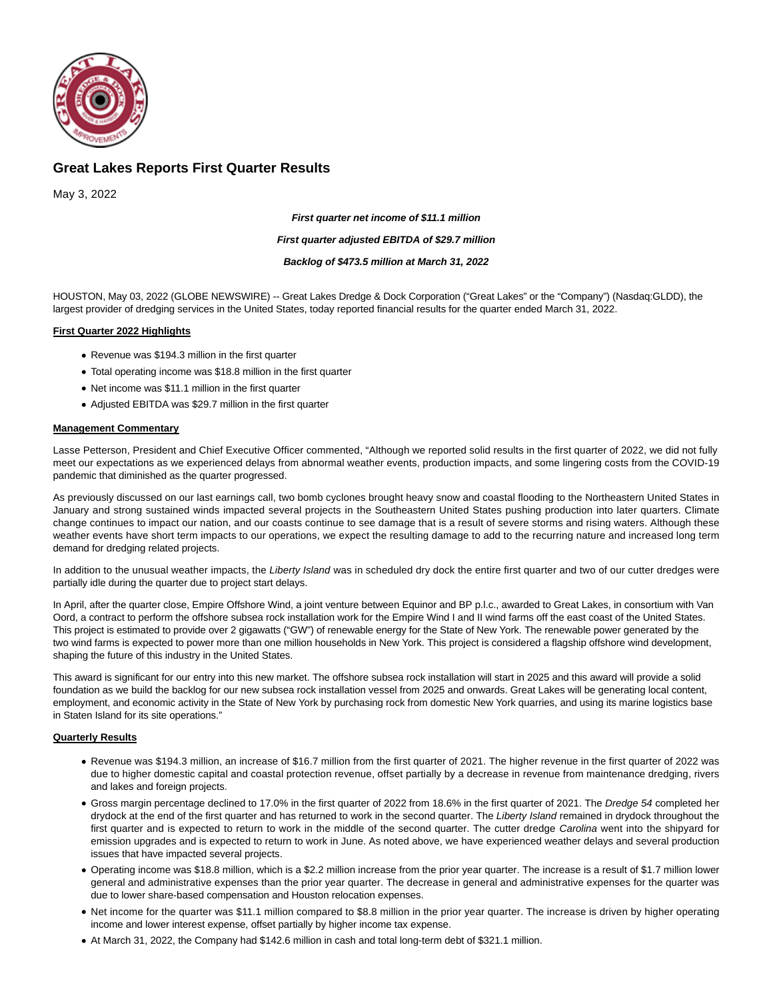

# **Great Lakes Reports First Quarter Results**

May 3, 2022

**First quarter net income of \$11.1 million**

#### **First quarter adjusted EBITDA of \$29.7 million**

#### **Backlog of \$473.5 million at March 31, 2022**

HOUSTON, May 03, 2022 (GLOBE NEWSWIRE) -- Great Lakes Dredge & Dock Corporation ("Great Lakes" or the "Company") (Nasdaq:GLDD), the largest provider of dredging services in the United States, today reported financial results for the quarter ended March 31, 2022.

### **First Quarter 2022 Highlights**

- Revenue was \$194.3 million in the first quarter
- Total operating income was \$18.8 million in the first quarter
- Net income was \$11.1 million in the first quarter
- Adjusted EBITDA was \$29.7 million in the first quarter

### **Management Commentary**

Lasse Petterson, President and Chief Executive Officer commented, "Although we reported solid results in the first quarter of 2022, we did not fully meet our expectations as we experienced delays from abnormal weather events, production impacts, and some lingering costs from the COVID-19 pandemic that diminished as the quarter progressed.

As previously discussed on our last earnings call, two bomb cyclones brought heavy snow and coastal flooding to the Northeastern United States in January and strong sustained winds impacted several projects in the Southeastern United States pushing production into later quarters. Climate change continues to impact our nation, and our coasts continue to see damage that is a result of severe storms and rising waters. Although these weather events have short term impacts to our operations, we expect the resulting damage to add to the recurring nature and increased long term demand for dredging related projects.

In addition to the unusual weather impacts, the Liberty Island was in scheduled dry dock the entire first quarter and two of our cutter dredges were partially idle during the quarter due to project start delays.

In April, after the quarter close, Empire Offshore Wind, a joint venture between Equinor and BP p.l.c., awarded to Great Lakes, in consortium with Van Oord, a contract to perform the offshore subsea rock installation work for the Empire Wind I and II wind farms off the east coast of the United States. This project is estimated to provide over 2 gigawatts ("GW") of renewable energy for the State of New York. The renewable power generated by the two wind farms is expected to power more than one million households in New York. This project is considered a flagship offshore wind development, shaping the future of this industry in the United States.

This award is significant for our entry into this new market. The offshore subsea rock installation will start in 2025 and this award will provide a solid foundation as we build the backlog for our new subsea rock installation vessel from 2025 and onwards. Great Lakes will be generating local content, employment, and economic activity in the State of New York by purchasing rock from domestic New York quarries, and using its marine logistics base in Staten Island for its site operations."

### **Quarterly Results**

- Revenue was \$194.3 million, an increase of \$16.7 million from the first quarter of 2021. The higher revenue in the first quarter of 2022 was due to higher domestic capital and coastal protection revenue, offset partially by a decrease in revenue from maintenance dredging, rivers and lakes and foreign projects.
- Gross margin percentage declined to 17.0% in the first quarter of 2022 from 18.6% in the first quarter of 2021. The Dredge 54 completed her drydock at the end of the first quarter and has returned to work in the second quarter. The Liberty Island remained in drydock throughout the first quarter and is expected to return to work in the middle of the second quarter. The cutter dredge Carolina went into the shipyard for emission upgrades and is expected to return to work in June. As noted above, we have experienced weather delays and several production issues that have impacted several projects.
- Operating income was \$18.8 million, which is a \$2.2 million increase from the prior year quarter. The increase is a result of \$1.7 million lower general and administrative expenses than the prior year quarter. The decrease in general and administrative expenses for the quarter was due to lower share-based compensation and Houston relocation expenses.
- Net income for the quarter was \$11.1 million compared to \$8.8 million in the prior year quarter. The increase is driven by higher operating income and lower interest expense, offset partially by higher income tax expense.
- At March 31, 2022, the Company had \$142.6 million in cash and total long-term debt of \$321.1 million.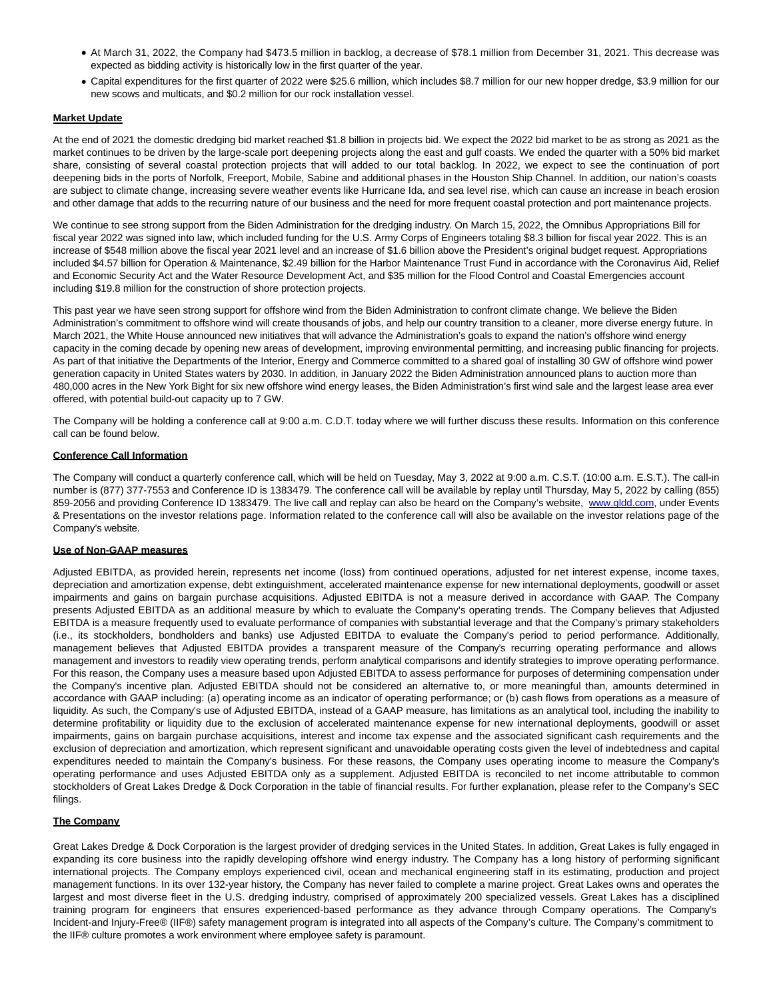- At March 31, 2022, the Company had \$473.5 million in backlog, a decrease of \$78.1 million from December 31, 2021. This decrease was expected as bidding activity is historically low in the first quarter of the year.
- Capital expenditures for the first quarter of 2022 were \$25.6 million, which includes \$8.7 million for our new hopper dredge, \$3.9 million for our new scows and multicats, and \$0.2 million for our rock installation vessel.

### **Market Update**

At the end of 2021 the domestic dredging bid market reached \$1.8 billion in projects bid. We expect the 2022 bid market to be as strong as 2021 as the market continues to be driven by the large-scale port deepening projects along the east and gulf coasts. We ended the quarter with a 50% bid market share, consisting of several coastal protection projects that will added to our total backlog. In 2022, we expect to see the continuation of port deepening bids in the ports of Norfolk, Freeport, Mobile, Sabine and additional phases in the Houston Ship Channel. In addition, our nation's coasts are subject to climate change, increasing severe weather events like Hurricane Ida, and sea level rise, which can cause an increase in beach erosion and other damage that adds to the recurring nature of our business and the need for more frequent coastal protection and port maintenance projects.

We continue to see strong support from the Biden Administration for the dredging industry. On March 15, 2022, the Omnibus Appropriations Bill for fiscal year 2022 was signed into law, which included funding for the U.S. Army Corps of Engineers totaling \$8.3 billion for fiscal year 2022. This is an increase of \$548 million above the fiscal year 2021 level and an increase of \$1.6 billion above the President's original budget request. Appropriations included \$4.57 billion for Operation & Maintenance, \$2.49 billion for the Harbor Maintenance Trust Fund in accordance with the Coronavirus Aid, Relief and Economic Security Act and the Water Resource Development Act, and \$35 million for the Flood Control and Coastal Emergencies account including \$19.8 million for the construction of shore protection projects.

This past year we have seen strong support for offshore wind from the Biden Administration to confront climate change. We believe the Biden Administration's commitment to offshore wind will create thousands of jobs, and help our country transition to a cleaner, more diverse energy future. In March 2021, the White House announced new initiatives that will advance the Administration's goals to expand the nation's offshore wind energy capacity in the coming decade by opening new areas of development, improving environmental permitting, and increasing public financing for projects. As part of that initiative the Departments of the Interior, Energy and Commerce committed to a shared goal of installing 30 GW of offshore wind power generation capacity in United States waters by 2030. In addition, in January 2022 the Biden Administration announced plans to auction more than 480,000 acres in the New York Bight for six new offshore wind energy leases, the Biden Administration's first wind sale and the largest lease area ever offered, with potential build-out capacity up to 7 GW.

The Company will be holding a conference call at 9:00 a.m. C.D.T. today where we will further discuss these results. Information on this conference call can be found below.

### **Conference Call Information**

The Company will conduct a quarterly conference call, which will be held on Tuesday, May 3, 2022 at 9:00 a.m. C.S.T. (10:00 a.m. E.S.T.). The call-in number is (877) 377-7553 and Conference ID is 1383479. The conference call will be available by replay until Thursday, May 5, 2022 by calling (855) 859-2056 and providing Conference ID 1383479. The live call and replay can also be heard on the Company's website, [www.gldd.com,](https://www.globenewswire.com/Tracker?data=A_TqKWCmNcOgFwcOWgZE0iRvCSYv0MpxxN1Zee5dYPdAVnSmVcYmmVsO17A-c4w-7JwBxSw05hA3Lwt38kv-Bw==) under Events & Presentations on the investor relations page. Information related to the conference call will also be available on the investor relations page of the Company's website.

### **Use of Non-GAAP measures**

Adjusted EBITDA, as provided herein, represents net income (loss) from continued operations, adjusted for net interest expense, income taxes, depreciation and amortization expense, debt extinguishment, accelerated maintenance expense for new international deployments, goodwill or asset impairments and gains on bargain purchase acquisitions. Adjusted EBITDA is not a measure derived in accordance with GAAP. The Company presents Adjusted EBITDA as an additional measure by which to evaluate the Company's operating trends. The Company believes that Adjusted EBITDA is a measure frequently used to evaluate performance of companies with substantial leverage and that the Company's primary stakeholders (i.e., its stockholders, bondholders and banks) use Adjusted EBITDA to evaluate the Company's period to period performance. Additionally, management believes that Adjusted EBITDA provides a transparent measure of the Company's recurring operating performance and allows management and investors to readily view operating trends, perform analytical comparisons and identify strategies to improve operating performance. For this reason, the Company uses a measure based upon Adjusted EBITDA to assess performance for purposes of determining compensation under the Company's incentive plan. Adjusted EBITDA should not be considered an alternative to, or more meaningful than, amounts determined in accordance with GAAP including: (a) operating income as an indicator of operating performance; or (b) cash flows from operations as a measure of liquidity. As such, the Company's use of Adjusted EBITDA, instead of a GAAP measure, has limitations as an analytical tool, including the inability to determine profitability or liquidity due to the exclusion of accelerated maintenance expense for new international deployments, goodwill or asset impairments, gains on bargain purchase acquisitions, interest and income tax expense and the associated significant cash requirements and the exclusion of depreciation and amortization, which represent significant and unavoidable operating costs given the level of indebtedness and capital expenditures needed to maintain the Company's business. For these reasons, the Company uses operating income to measure the Company's operating performance and uses Adjusted EBITDA only as a supplement. Adjusted EBITDA is reconciled to net income attributable to common stockholders of Great Lakes Dredge & Dock Corporation in the table of financial results. For further explanation, please refer to the Company's SEC filings.

### **The Company**

Great Lakes Dredge & Dock Corporation is the largest provider of dredging services in the United States. In addition, Great Lakes is fully engaged in expanding its core business into the rapidly developing offshore wind energy industry. The Company has a long history of performing significant international projects. The Company employs experienced civil, ocean and mechanical engineering staff in its estimating, production and project management functions. In its over 132-year history, the Company has never failed to complete a marine project. Great Lakes owns and operates the largest and most diverse fleet in the U.S. dredging industry, comprised of approximately 200 specialized vessels. Great Lakes has a disciplined training program for engineers that ensures experienced-based performance as they advance through Company operations. The Company's Incident-and Injury-Free® (IIF®) safety management program is integrated into all aspects of the Company's culture. The Company's commitment to the IIF® culture promotes a work environment where employee safety is paramount.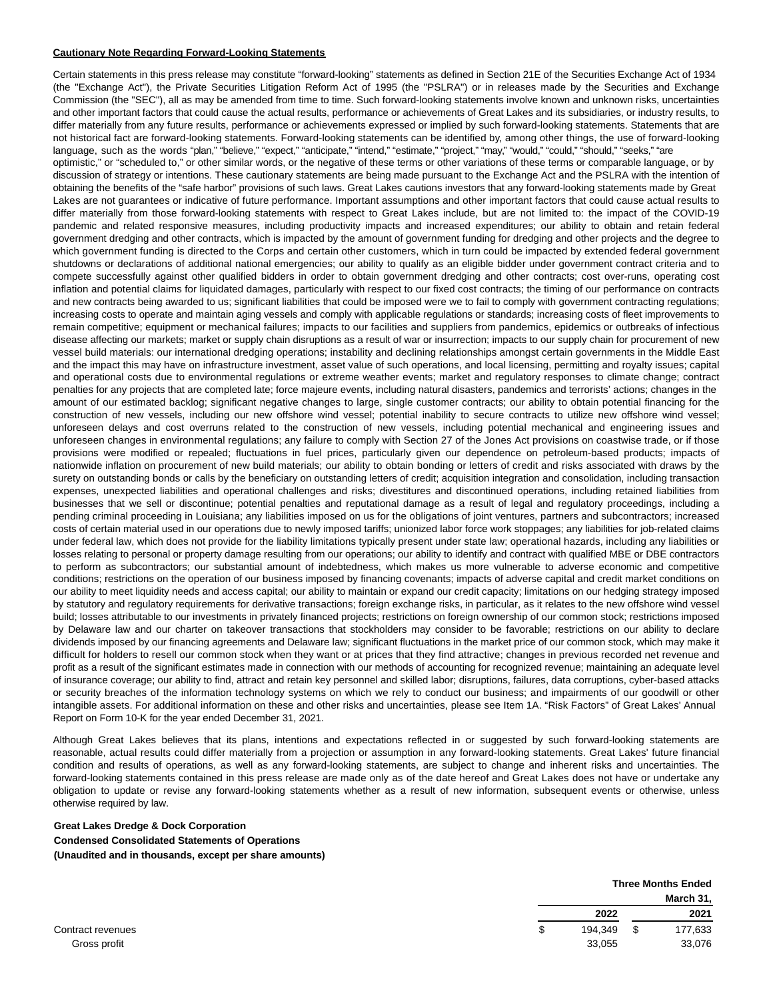#### **Cautionary Note Regarding Forward-Looking Statements**

Certain statements in this press release may constitute "forward-looking" statements as defined in Section 21E of the Securities Exchange Act of 1934 (the "Exchange Act"), the Private Securities Litigation Reform Act of 1995 (the "PSLRA") or in releases made by the Securities and Exchange Commission (the "SEC"), all as may be amended from time to time. Such forward-looking statements involve known and unknown risks, uncertainties and other important factors that could cause the actual results, performance or achievements of Great Lakes and its subsidiaries, or industry results, to differ materially from any future results, performance or achievements expressed or implied by such forward-looking statements. Statements that are not historical fact are forward-looking statements. Forward-looking statements can be identified by, among other things, the use of forward-looking language, such as the words "plan," "believe," "expect," "anticipate," "intend," "estimate," "project," "may," "would," "could," "should," "seeks," "are optimistic," or "scheduled to," or other similar words, or the negative of these terms or other variations of these terms or comparable language, or by discussion of strategy or intentions. These cautionary statements are being made pursuant to the Exchange Act and the PSLRA with the intention of obtaining the benefits of the "safe harbor" provisions of such laws. Great Lakes cautions investors that any forward-looking statements made by Great Lakes are not guarantees or indicative of future performance. Important assumptions and other important factors that could cause actual results to differ materially from those forward-looking statements with respect to Great Lakes include, but are not limited to: the impact of the COVID-19 pandemic and related responsive measures, including productivity impacts and increased expenditures; our ability to obtain and retain federal government dredging and other contracts, which is impacted by the amount of government funding for dredging and other projects and the degree to which government funding is directed to the Corps and certain other customers, which in turn could be impacted by extended federal government shutdowns or declarations of additional national emergencies; our ability to qualify as an eligible bidder under government contract criteria and to compete successfully against other qualified bidders in order to obtain government dredging and other contracts; cost over-runs, operating cost inflation and potential claims for liquidated damages, particularly with respect to our fixed cost contracts; the timing of our performance on contracts and new contracts being awarded to us; significant liabilities that could be imposed were we to fail to comply with government contracting regulations; increasing costs to operate and maintain aging vessels and comply with applicable regulations or standards; increasing costs of fleet improvements to remain competitive; equipment or mechanical failures; impacts to our facilities and suppliers from pandemics, epidemics or outbreaks of infectious disease affecting our markets; market or supply chain disruptions as a result of war or insurrection; impacts to our supply chain for procurement of new vessel build materials: our international dredging operations; instability and declining relationships amongst certain governments in the Middle East and the impact this may have on infrastructure investment, asset value of such operations, and local licensing, permitting and royalty issues; capital and operational costs due to environmental regulations or extreme weather events; market and regulatory responses to climate change; contract penalties for any projects that are completed late; force majeure events, including natural disasters, pandemics and terrorists' actions; changes in the amount of our estimated backlog; significant negative changes to large, single customer contracts; our ability to obtain potential financing for the construction of new vessels, including our new offshore wind vessel; potential inability to secure contracts to utilize new offshore wind vessel; unforeseen delays and cost overruns related to the construction of new vessels, including potential mechanical and engineering issues and unforeseen changes in environmental regulations; any failure to comply with Section 27 of the Jones Act provisions on coastwise trade, or if those provisions were modified or repealed; fluctuations in fuel prices, particularly given our dependence on petroleum-based products; impacts of nationwide inflation on procurement of new build materials; our ability to obtain bonding or letters of credit and risks associated with draws by the surety on outstanding bonds or calls by the beneficiary on outstanding letters of credit; acquisition integration and consolidation, including transaction expenses, unexpected liabilities and operational challenges and risks; divestitures and discontinued operations, including retained liabilities from businesses that we sell or discontinue; potential penalties and reputational damage as a result of legal and regulatory proceedings, including a pending criminal proceeding in Louisiana; any liabilities imposed on us for the obligations of joint ventures, partners and subcontractors; increased costs of certain material used in our operations due to newly imposed tariffs; unionized labor force work stoppages; any liabilities for job-related claims under federal law, which does not provide for the liability limitations typically present under state law; operational hazards, including any liabilities or losses relating to personal or property damage resulting from our operations; our ability to identify and contract with qualified MBE or DBE contractors to perform as subcontractors; our substantial amount of indebtedness, which makes us more vulnerable to adverse economic and competitive conditions; restrictions on the operation of our business imposed by financing covenants; impacts of adverse capital and credit market conditions on our ability to meet liquidity needs and access capital; our ability to maintain or expand our credit capacity; limitations on our hedging strategy imposed by statutory and regulatory requirements for derivative transactions; foreign exchange risks, in particular, as it relates to the new offshore wind vessel build; losses attributable to our investments in privately financed projects; restrictions on foreign ownership of our common stock; restrictions imposed by Delaware law and our charter on takeover transactions that stockholders may consider to be favorable; restrictions on our ability to declare dividends imposed by our financing agreements and Delaware law; significant fluctuations in the market price of our common stock, which may make it difficult for holders to resell our common stock when they want or at prices that they find attractive; changes in previous recorded net revenue and profit as a result of the significant estimates made in connection with our methods of accounting for recognized revenue; maintaining an adequate level of insurance coverage; our ability to find, attract and retain key personnel and skilled labor; disruptions, failures, data corruptions, cyber-based attacks or security breaches of the information technology systems on which we rely to conduct our business; and impairments of our goodwill or other intangible assets. For additional information on these and other risks and uncertainties, please see Item 1A. "Risk Factors" of Great Lakes' Annual Report on Form 10-K for the year ended December 31, 2021.

Although Great Lakes believes that its plans, intentions and expectations reflected in or suggested by such forward-looking statements are reasonable, actual results could differ materially from a projection or assumption in any forward-looking statements. Great Lakes' future financial condition and results of operations, as well as any forward-looking statements, are subject to change and inherent risks and uncertainties. The forward-looking statements contained in this press release are made only as of the date hereof and Great Lakes does not have or undertake any obligation to update or revise any forward-looking statements whether as a result of new information, subsequent events or otherwise, unless otherwise required by law.

# **Great Lakes Dredge & Dock Corporation Condensed Consolidated Statements of Operations (Unaudited and in thousands, except per share amounts)**

|                   |   | <b>Three Months Ended</b> |    |           |
|-------------------|---|---------------------------|----|-----------|
|                   |   |                           |    | March 31, |
|                   |   | 2022                      |    | 2021      |
| Contract revenues | S | 194,349                   | \$ | 177,633   |
| Gross profit      |   | 33,055                    |    | 33,076    |

| Contract revenues |
|-------------------|
| Gross profit      |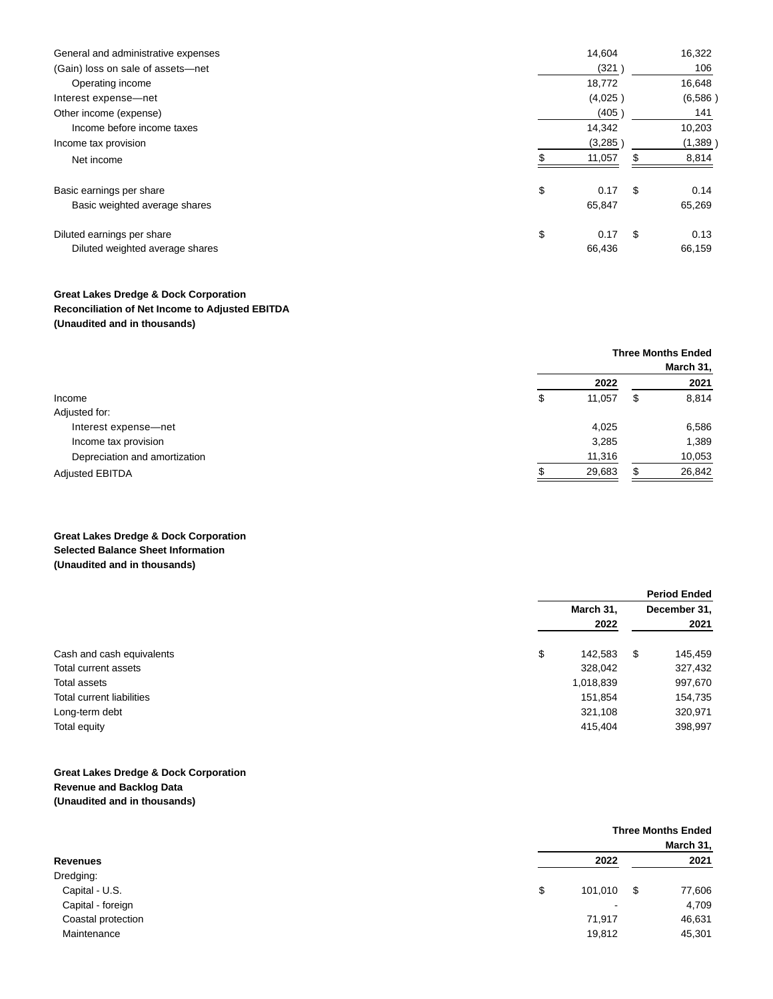| General and administrative expenses | 14,604     |      | 16,322  |
|-------------------------------------|------------|------|---------|
| (Gain) loss on sale of assets-net   | (321)      |      | 106     |
| Operating income                    | 18,772     |      | 16,648  |
| Interest expense-net                | (4,025)    |      | (6,586) |
| Other income (expense)              | (405)      |      | 141     |
| Income before income taxes          | 14,342     |      | 10,203  |
| Income tax provision                | (3,285)    |      | (1,389) |
| Net income                          | 11,057     | S    | 8,814   |
| Basic earnings per share            | \$<br>0.17 | - \$ | 0.14    |
| Basic weighted average shares       | 65,847     |      | 65,269  |
| Diluted earnings per share          | \$<br>0.17 | \$   | 0.13    |
| Diluted weighted average shares     | 66,436     |      | 66,159  |

# **Great Lakes Dredge & Dock Corporation Reconciliation of Net Income to Adjusted EBITDA (Unaudited and in thousands)**

|                               | <b>Three Months Ended</b> |    |        |
|-------------------------------|---------------------------|----|--------|
|                               | March 31,                 |    |        |
|                               | 2022                      |    | 2021   |
| Income                        | \$<br>11,057              | \$ | 8,814  |
| Adjusted for:                 |                           |    |        |
| Interest expense-net          | 4.025                     |    | 6,586  |
| Income tax provision          | 3,285                     |    | 1,389  |
| Depreciation and amortization | 11,316                    |    | 10,053 |
| <b>Adjusted EBITDA</b>        | 29,683                    |    | 26,842 |

# **Great Lakes Dredge & Dock Corporation Selected Balance Sheet Information (Unaudited and in thousands)**

|                           | <b>Period Ended</b> |                      |         |
|---------------------------|---------------------|----------------------|---------|
|                           | March 31,           | December 31,<br>2021 |         |
|                           | 2022                |                      |         |
| Cash and cash equivalents | \$<br>142.583       | \$                   | 145,459 |
| Total current assets      | 328,042             |                      | 327,432 |
| Total assets              | 1,018,839           |                      | 997,670 |
| Total current liabilities | 151,854             |                      | 154,735 |
| Long-term debt            | 321,108             |                      | 320,971 |
| Total equity              | 415,404             |                      | 398,997 |

# **Great Lakes Dredge & Dock Corporation Revenue and Backlog Data (Unaudited and in thousands)**

|                    |               | <b>Three Months Ended</b> |           |
|--------------------|---------------|---------------------------|-----------|
|                    |               |                           | March 31, |
| <b>Revenues</b>    |               | 2022                      | 2021      |
| Dredging:          |               |                           |           |
| Capital - U.S.     | \$<br>101,010 | - \$                      | 77,606    |
| Capital - foreign  |               | $\overline{\phantom{a}}$  | 4,709     |
| Coastal protection | 71,917        |                           | 46,631    |
| Maintenance        | 19,812        |                           | 45,301    |